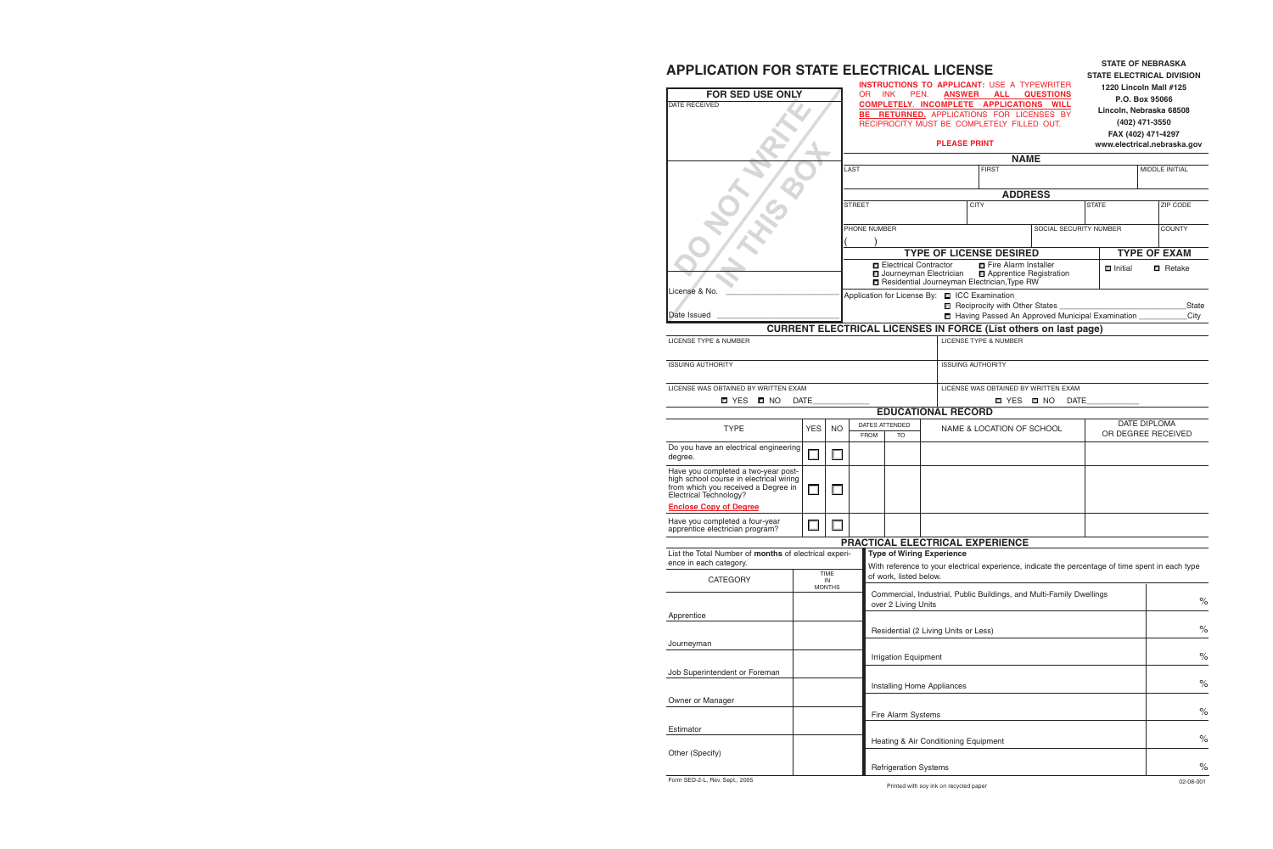## **APPLICATION FOR STATE ELECTRICAL LICENSE**

| FOR SED USE ONLY<br><b>DATE RECEIVED</b>                                                                                                        |                                    |           |                                | <b>INSTRUCTIONS TO APPLICANT: USE A TYPEWRITER</b><br>OR.<br><b>INK</b><br><b>ANSWER ALL</b><br>PEN.<br><b>QUESTIONS</b><br>COMPLETELY. INCOMPLETE APPLICATIONS WILL<br><b>BE RETURNED.</b> APPLICATIONS FOR LICENSES BY<br>RECIPROCITY MUST BE COMPLETELY FILLED OUT.<br><b>PLEASE PRINT</b> |                              |                                               |             |                                                                                                                                   |                        | 1220 Lincoln Mall #125<br>P.O. Box 95066<br>Lincoln, Nebraska 68508<br>(402) 471-3550<br>FAX (402) 471-4297<br>www.electrical.nebraska.gov |                     |  |                       |  |
|-------------------------------------------------------------------------------------------------------------------------------------------------|------------------------------------|-----------|--------------------------------|-----------------------------------------------------------------------------------------------------------------------------------------------------------------------------------------------------------------------------------------------------------------------------------------------|------------------------------|-----------------------------------------------|-------------|-----------------------------------------------------------------------------------------------------------------------------------|------------------------|--------------------------------------------------------------------------------------------------------------------------------------------|---------------------|--|-----------------------|--|
|                                                                                                                                                 |                                    |           |                                |                                                                                                                                                                                                                                                                                               |                              |                                               |             | <b>NAME</b>                                                                                                                       |                        |                                                                                                                                            |                     |  |                       |  |
|                                                                                                                                                 |                                    |           | LAST                           |                                                                                                                                                                                                                                                                                               |                              |                                               |             | <b>FIRST</b>                                                                                                                      |                        |                                                                                                                                            |                     |  | <b>MIDDLE INITIAL</b> |  |
|                                                                                                                                                 |                                    |           |                                |                                                                                                                                                                                                                                                                                               |                              |                                               |             |                                                                                                                                   |                        |                                                                                                                                            |                     |  |                       |  |
|                                                                                                                                                 |                                    |           |                                |                                                                                                                                                                                                                                                                                               |                              |                                               |             | <b>ADDRESS</b>                                                                                                                    |                        |                                                                                                                                            |                     |  |                       |  |
|                                                                                                                                                 |                                    |           | <b>STREET</b>                  |                                                                                                                                                                                                                                                                                               |                              |                                               | <b>CITY</b> |                                                                                                                                   |                        | <b>STATE</b>                                                                                                                               |                     |  | ZIP CODE              |  |
|                                                                                                                                                 |                                    |           |                                | PHONE NUMBER                                                                                                                                                                                                                                                                                  |                              |                                               |             |                                                                                                                                   | SOCIAL SECURITY NUMBER |                                                                                                                                            |                     |  | <b>COUNTY</b>         |  |
|                                                                                                                                                 |                                    |           |                                |                                                                                                                                                                                                                                                                                               |                              |                                               |             |                                                                                                                                   |                        |                                                                                                                                            |                     |  |                       |  |
|                                                                                                                                                 |                                    |           | <b>TYPE OF LICENSE DESIRED</b> |                                                                                                                                                                                                                                                                                               |                              |                                               |             |                                                                                                                                   |                        |                                                                                                                                            | <b>TYPE OF EXAM</b> |  |                       |  |
|                                                                                                                                                 |                                    |           |                                |                                                                                                                                                                                                                                                                                               |                              | □ Electrical Contractor                       |             | □ Fire Alarm Installer                                                                                                            |                        |                                                                                                                                            | <b>D</b> Initial    |  | <b>□</b> Retake       |  |
|                                                                                                                                                 |                                    |           |                                |                                                                                                                                                                                                                                                                                               |                              | Journeyman Electrician                        |             | Apprentice Registration<br>Residential Journeyman Electrician, Type RW                                                            |                        |                                                                                                                                            |                     |  |                       |  |
| License & No.                                                                                                                                   |                                    |           |                                |                                                                                                                                                                                                                                                                                               |                              | Application for License By: □ ICC Examination |             |                                                                                                                                   |                        |                                                                                                                                            |                     |  |                       |  |
| Date Issued                                                                                                                                     |                                    |           |                                |                                                                                                                                                                                                                                                                                               |                              |                                               |             | Reciprocity with Other States __                                                                                                  |                        |                                                                                                                                            |                     |  | <b>State</b>          |  |
|                                                                                                                                                 |                                    |           |                                |                                                                                                                                                                                                                                                                                               |                              |                                               |             | Having Passed An Approved Municipal Examination _______<br><b>CURRENT ELECTRICAL LICENSES IN FORCE (List others on last page)</b> |                        |                                                                                                                                            |                     |  | City                  |  |
| <b>LICENSE TYPE &amp; NUMBER</b>                                                                                                                |                                    |           |                                |                                                                                                                                                                                                                                                                                               |                              |                                               |             | <b>LICENSE TYPE &amp; NUMBER</b>                                                                                                  |                        |                                                                                                                                            |                     |  |                       |  |
|                                                                                                                                                 |                                    |           |                                |                                                                                                                                                                                                                                                                                               |                              |                                               |             |                                                                                                                                   |                        |                                                                                                                                            |                     |  |                       |  |
| <b>ISSUING AUTHORITY</b>                                                                                                                        |                                    |           |                                |                                                                                                                                                                                                                                                                                               |                              |                                               |             | <b>ISSUING AUTHORITY</b>                                                                                                          |                        |                                                                                                                                            |                     |  |                       |  |
|                                                                                                                                                 |                                    |           |                                |                                                                                                                                                                                                                                                                                               |                              |                                               |             |                                                                                                                                   |                        |                                                                                                                                            |                     |  |                       |  |
| LICENSE WAS OBTAINED BY WRITTEN EXAM                                                                                                            |                                    |           |                                | LICENSE WAS OBTAINED BY WRITTEN EXAM                                                                                                                                                                                                                                                          |                              |                                               |             |                                                                                                                                   |                        |                                                                                                                                            |                     |  |                       |  |
| <b>O</b> YES O NO                                                                                                                               | <b>DATE</b>                        |           |                                |                                                                                                                                                                                                                                                                                               |                              | <b>EDUCATIONAL RECORD</b>                     |             | <b>O</b> YES <b>O</b> NO                                                                                                          | DATE                   |                                                                                                                                            |                     |  |                       |  |
|                                                                                                                                                 |                                    |           |                                |                                                                                                                                                                                                                                                                                               | DATES ATTENDED               |                                               |             |                                                                                                                                   |                        |                                                                                                                                            |                     |  | DATE DIPLOMA          |  |
| <b>TYPE</b>                                                                                                                                     | <b>YES</b>                         | <b>NO</b> |                                | <b>FROM</b>                                                                                                                                                                                                                                                                                   | TO                           |                                               |             | NAME & LOCATION OF SCHOOL                                                                                                         |                        |                                                                                                                                            |                     |  | OR DEGREE RECEIVED    |  |
| Do you have an electrical engineering<br>degree.                                                                                                | $\Box$                             |           |                                |                                                                                                                                                                                                                                                                                               |                              |                                               |             |                                                                                                                                   |                        |                                                                                                                                            |                     |  |                       |  |
| Have you completed a two-year post-<br>high school course in electrical wiring<br>from which you received a Degree in<br>Electrical Technology? | $\Box$                             |           |                                |                                                                                                                                                                                                                                                                                               |                              |                                               |             |                                                                                                                                   |                        |                                                                                                                                            |                     |  |                       |  |
| <b>Enclose Copy of Degree</b>                                                                                                                   |                                    |           |                                |                                                                                                                                                                                                                                                                                               |                              |                                               |             |                                                                                                                                   |                        |                                                                                                                                            |                     |  |                       |  |
| Have you completed a four-year<br>apprentice electrician program?                                                                               | ⊒                                  |           |                                |                                                                                                                                                                                                                                                                                               |                              |                                               |             |                                                                                                                                   |                        |                                                                                                                                            |                     |  |                       |  |
|                                                                                                                                                 |                                    |           |                                |                                                                                                                                                                                                                                                                                               |                              |                                               |             | PRACTICAL ELECTRICAL EXPERIENCE                                                                                                   |                        |                                                                                                                                            |                     |  |                       |  |
| List the Total Number of months of electrical experi-                                                                                           |                                    |           |                                |                                                                                                                                                                                                                                                                                               |                              | <b>Type of Wiring Experience</b>              |             |                                                                                                                                   |                        |                                                                                                                                            |                     |  |                       |  |
| ence in each category.<br><b>CATEGORY</b>                                                                                                       | <b>TIME</b><br>IN<br><b>MONTHS</b> |           |                                |                                                                                                                                                                                                                                                                                               | of work, listed below.       |                                               |             | With reference to your electrical experience, indicate the percentage of time spent in each type                                  |                        |                                                                                                                                            |                     |  |                       |  |
|                                                                                                                                                 |                                    |           |                                |                                                                                                                                                                                                                                                                                               |                              |                                               |             | Commercial, Industrial, Public Buildings, and Multi-Family Dwellings                                                              |                        |                                                                                                                                            |                     |  | $\%$                  |  |
| Apprentice                                                                                                                                      |                                    |           |                                |                                                                                                                                                                                                                                                                                               | over 2 Living Units          |                                               |             |                                                                                                                                   |                        |                                                                                                                                            |                     |  |                       |  |
|                                                                                                                                                 |                                    |           |                                |                                                                                                                                                                                                                                                                                               |                              |                                               |             |                                                                                                                                   |                        |                                                                                                                                            |                     |  | $\%$                  |  |
|                                                                                                                                                 |                                    |           |                                |                                                                                                                                                                                                                                                                                               |                              | Residential (2 Living Units or Less)          |             |                                                                                                                                   |                        |                                                                                                                                            |                     |  |                       |  |
| Journeyman                                                                                                                                      |                                    |           |                                |                                                                                                                                                                                                                                                                                               | Irrigation Equipment         |                                               |             |                                                                                                                                   |                        |                                                                                                                                            |                     |  | $\%$                  |  |
|                                                                                                                                                 |                                    |           |                                |                                                                                                                                                                                                                                                                                               |                              |                                               |             |                                                                                                                                   |                        |                                                                                                                                            |                     |  |                       |  |
| Job Superintendent or Foreman                                                                                                                   |                                    |           |                                |                                                                                                                                                                                                                                                                                               |                              |                                               |             |                                                                                                                                   |                        |                                                                                                                                            |                     |  | $\%$                  |  |
|                                                                                                                                                 |                                    |           |                                |                                                                                                                                                                                                                                                                                               |                              | Installing Home Appliances                    |             |                                                                                                                                   |                        |                                                                                                                                            |                     |  |                       |  |
| Owner or Manager                                                                                                                                |                                    |           |                                |                                                                                                                                                                                                                                                                                               |                              |                                               |             |                                                                                                                                   |                        |                                                                                                                                            |                     |  | $\%$                  |  |
|                                                                                                                                                 |                                    |           |                                |                                                                                                                                                                                                                                                                                               | Fire Alarm Systems           |                                               |             |                                                                                                                                   |                        |                                                                                                                                            |                     |  |                       |  |
| Estimator                                                                                                                                       |                                    |           |                                |                                                                                                                                                                                                                                                                                               |                              | Heating & Air Conditioning Equipment          |             |                                                                                                                                   |                        |                                                                                                                                            |                     |  | $\%$                  |  |
| Other (Specify)                                                                                                                                 |                                    |           |                                |                                                                                                                                                                                                                                                                                               |                              |                                               |             |                                                                                                                                   |                        |                                                                                                                                            |                     |  |                       |  |
|                                                                                                                                                 |                                    |           |                                |                                                                                                                                                                                                                                                                                               | <b>Refrigeration Systems</b> |                                               |             |                                                                                                                                   |                        |                                                                                                                                            |                     |  | $\%$                  |  |
|                                                                                                                                                 |                                    |           |                                |                                                                                                                                                                                                                                                                                               |                              |                                               |             |                                                                                                                                   |                        |                                                                                                                                            |                     |  |                       |  |

**STATE OF NEBRASKA**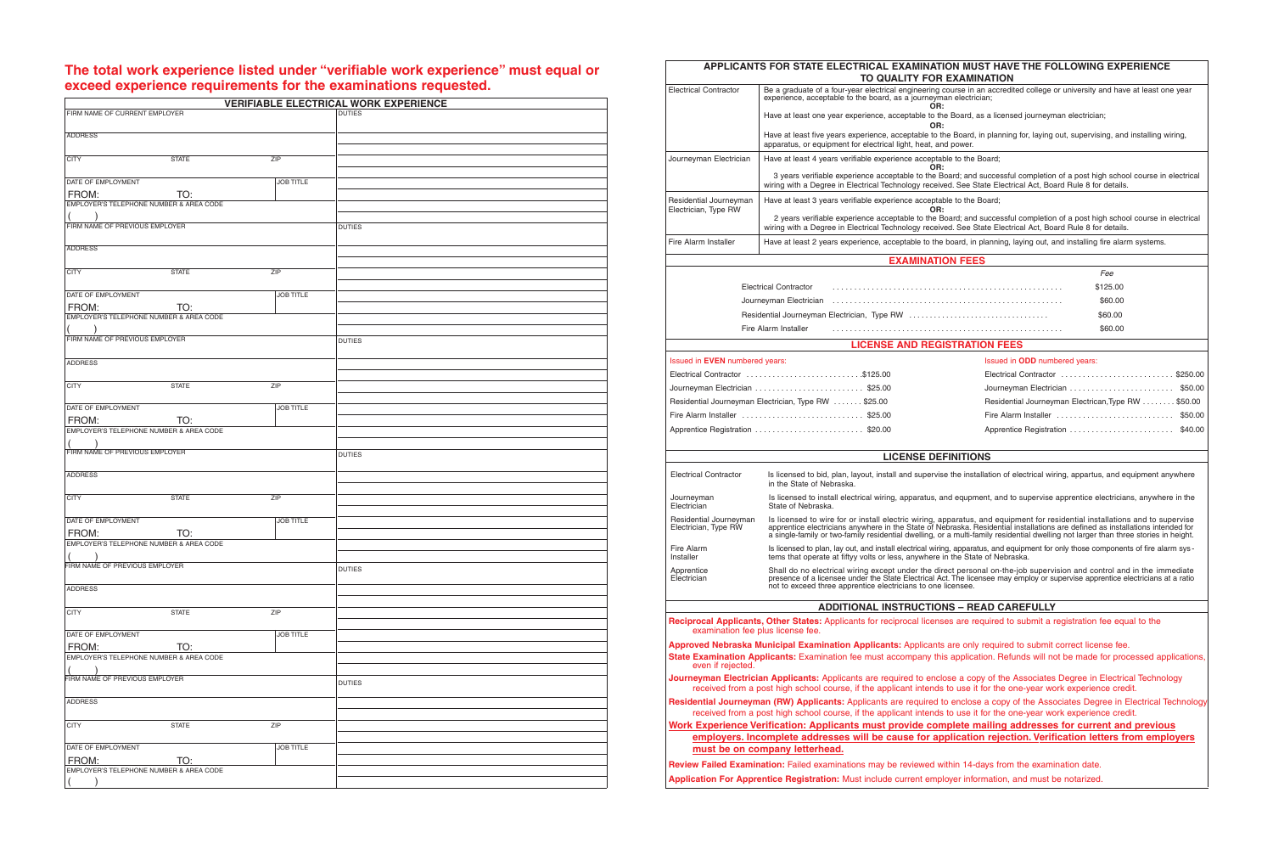## **The total work experience listed under "verifiable work experience" must equal or exceed experience requirements for the examinations requested.**

| FIRM NAME OF CURRENT EMPLOYER                                  |                  | <b>VERIFIABLE ELECTRICAL WORK EXPERIENCE</b> |
|----------------------------------------------------------------|------------------|----------------------------------------------|
|                                                                |                  |                                              |
| <b>ADDRESS</b>                                                 |                  |                                              |
| <b>CITY</b><br><b>STATE</b>                                    | ZIP              |                                              |
|                                                                |                  |                                              |
| DATE OF EMPLOYMENT                                             | <b>JOB TITLE</b> |                                              |
| TO:<br>FROM:                                                   |                  |                                              |
| EMPLOYER'S TELEPHONE NUMBER & AREA CODE                        |                  |                                              |
|                                                                |                  |                                              |
| FIRM NAME OF PREVIOUS EMPLOYER                                 |                  | <b>DUTIES</b>                                |
|                                                                |                  |                                              |
| <b>ADDRESS</b>                                                 |                  |                                              |
|                                                                |                  |                                              |
| <b>CITY</b><br><b>STATE</b>                                    | ZIP              |                                              |
| DATE OF EMPLOYMENT                                             | <b>JOB TITLE</b> |                                              |
| FROM:<br>TO:                                                   |                  |                                              |
| EMPLOYER'S TELEPHONE NUMBER & AREA CODE                        |                  |                                              |
|                                                                |                  |                                              |
| FIRM NAME OF PREVIOUS EMPLOYER                                 |                  | <b>DUTIES</b>                                |
|                                                                |                  |                                              |
| <b>ADDRESS</b>                                                 |                  |                                              |
|                                                                |                  |                                              |
| <b>CITY</b><br><b>STATE</b>                                    | ZIP              |                                              |
|                                                                |                  |                                              |
| DATE OF EMPLOYMENT                                             | <b>JOB TITLE</b> |                                              |
| <b>FROM:</b><br>TO:<br>EMPLOYER'S TELEPHONE NUMBER & AREA CODE |                  |                                              |
|                                                                |                  |                                              |
| FIRM NAME OF PREVIOUS EMPLOYER                                 |                  | <b>DUTIES</b>                                |
|                                                                |                  |                                              |
| <b>ADDRESS</b>                                                 |                  |                                              |
|                                                                |                  |                                              |
| <b>CITY</b><br><b>STATE</b>                                    | ZIP              |                                              |
|                                                                |                  |                                              |
| DATE OF EMPLOYMENT                                             | <b>JOB TITLE</b> |                                              |
| FROM:<br>TO:<br>EMPLOYER'S TELEPHONE NUMBER & AREA CODE        |                  |                                              |
|                                                                |                  |                                              |
| FIRM NAME OF PREVIOUS EMPLOYER                                 |                  | <b>DUTIES</b>                                |
|                                                                |                  |                                              |
| <b>ADDRESS</b>                                                 |                  |                                              |
|                                                                |                  |                                              |
| <b>CITY</b><br><b>STATE</b>                                    | ZIP              |                                              |
|                                                                |                  |                                              |
| DATE OF EMPLOYMENT                                             | JOB TITLE        |                                              |
| FROM:<br>TO:<br>EMPLOYER'S TELEPHONE NUMBER & AREA CODE        |                  |                                              |
|                                                                |                  |                                              |
| FIRM NAME OF PREVIOUS EMPLOYER                                 |                  |                                              |
|                                                                |                  | <b>DUTIES</b>                                |
| <b>ADDRESS</b>                                                 |                  |                                              |
|                                                                |                  |                                              |
| <b>CITY</b><br><b>STATE</b>                                    | ZIP              |                                              |
|                                                                |                  |                                              |
| DATE OF EMPLOYMENT                                             | <b>JOB TITLE</b> |                                              |
| FROM:<br>TO:                                                   |                  |                                              |
| EMPLOYER'S TELEPHONE NUMBER & AREA CODE                        |                  |                                              |
|                                                                |                  |                                              |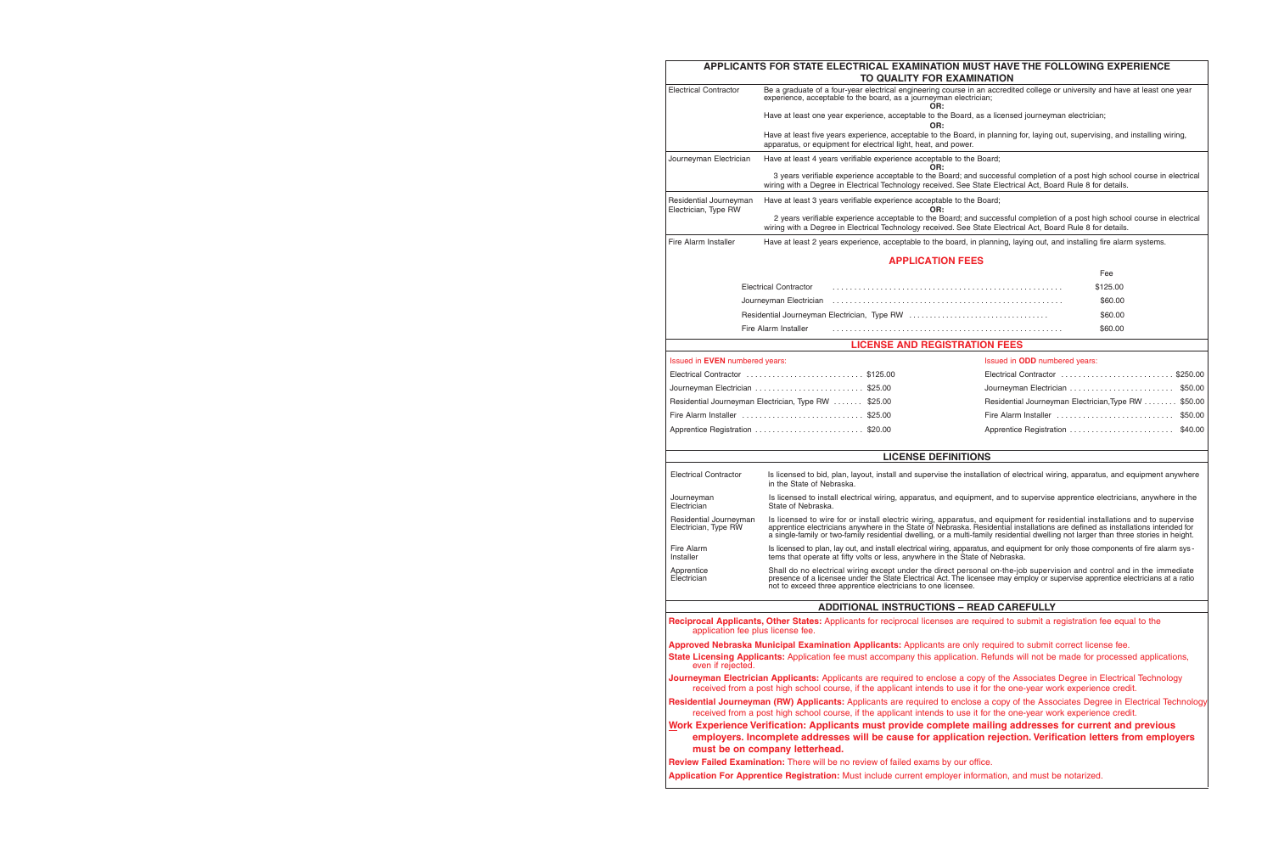| APPLICANTS FOR STATE ELECTRICAL EXAMINATION MUST HAVE THE FOLLOWING EXPERIENCE<br>TO QUALITY FOR EXAMINATION |                                                                                                                                                                                                 |                                                                                                                                                                                                                                                                                                                                                                                                      |  |  |  |
|--------------------------------------------------------------------------------------------------------------|-------------------------------------------------------------------------------------------------------------------------------------------------------------------------------------------------|------------------------------------------------------------------------------------------------------------------------------------------------------------------------------------------------------------------------------------------------------------------------------------------------------------------------------------------------------------------------------------------------------|--|--|--|
| <b>Electrical Contractor</b>                                                                                 | experience, acceptable to the board, as a journeyman electrician;<br>OR:                                                                                                                        | Be a graduate of a four-year electrical engineering course in an accredited college or university and have at least one year                                                                                                                                                                                                                                                                         |  |  |  |
|                                                                                                              | Have at least one year experience, acceptable to the Board, as a licensed journeyman electrician;<br>OR:                                                                                        |                                                                                                                                                                                                                                                                                                                                                                                                      |  |  |  |
|                                                                                                              | apparatus, or equipment for electrical light, heat, and power.                                                                                                                                  | Have at least five years experience, acceptable to the Board, in planning for, laying out, supervising, and installing wiring,                                                                                                                                                                                                                                                                       |  |  |  |
| Journeyman Electrician                                                                                       | Have at least 4 years verifiable experience acceptable to the Board;<br>OR:                                                                                                                     |                                                                                                                                                                                                                                                                                                                                                                                                      |  |  |  |
|                                                                                                              |                                                                                                                                                                                                 | 3 years verifiable experience acceptable to the Board; and successful completion of a post high school course in electrical<br>wiring with a Degree in Electrical Technology received. See State Electrical Act, Board Rule 8 for details.                                                                                                                                                           |  |  |  |
| Residential Journeyman                                                                                       | Have at least 3 years verifiable experience acceptable to the Board;<br>OR:                                                                                                                     |                                                                                                                                                                                                                                                                                                                                                                                                      |  |  |  |
| Electrician, Type RW                                                                                         |                                                                                                                                                                                                 | 2 years verifiable experience acceptable to the Board; and successful completion of a post high school course in electrical<br>wiring with a Degree in Electrical Technology received. See State Electrical Act, Board Rule 8 for details.                                                                                                                                                           |  |  |  |
| Fire Alarm Installer                                                                                         |                                                                                                                                                                                                 | Have at least 2 years experience, acceptable to the board, in planning, laying out, and installing fire alarm systems.                                                                                                                                                                                                                                                                               |  |  |  |
|                                                                                                              | <b>APPLICATION FEES</b>                                                                                                                                                                         |                                                                                                                                                                                                                                                                                                                                                                                                      |  |  |  |
|                                                                                                              |                                                                                                                                                                                                 | Fee                                                                                                                                                                                                                                                                                                                                                                                                  |  |  |  |
|                                                                                                              | <b>Electrical Contractor</b>                                                                                                                                                                    | \$125.00                                                                                                                                                                                                                                                                                                                                                                                             |  |  |  |
|                                                                                                              | Journeyman Electrician                                                                                                                                                                          | \$60.00                                                                                                                                                                                                                                                                                                                                                                                              |  |  |  |
|                                                                                                              |                                                                                                                                                                                                 | \$60.00                                                                                                                                                                                                                                                                                                                                                                                              |  |  |  |
|                                                                                                              | Fire Alarm Installer                                                                                                                                                                            | \$60.00                                                                                                                                                                                                                                                                                                                                                                                              |  |  |  |
|                                                                                                              | <b>LICENSE AND REGISTRATION FEES</b>                                                                                                                                                            |                                                                                                                                                                                                                                                                                                                                                                                                      |  |  |  |
| Issued in <b>EVEN</b> numbered years:                                                                        |                                                                                                                                                                                                 | Issued in <b>ODD</b> numbered years:                                                                                                                                                                                                                                                                                                                                                                 |  |  |  |
|                                                                                                              | Electrical Contractor \$125.00                                                                                                                                                                  | Electrical Contractor \$250.00                                                                                                                                                                                                                                                                                                                                                                       |  |  |  |
|                                                                                                              | Journeyman Electrician \$25.00                                                                                                                                                                  |                                                                                                                                                                                                                                                                                                                                                                                                      |  |  |  |
|                                                                                                              | Residential Journeyman Electrician, Type RW  \$25.00                                                                                                                                            | Residential Journeyman Electrician, Type RW  \$50.00                                                                                                                                                                                                                                                                                                                                                 |  |  |  |
|                                                                                                              | Fire Alarm Installer \$25.00                                                                                                                                                                    | Fire Alarm Installer<br>\$50.00                                                                                                                                                                                                                                                                                                                                                                      |  |  |  |
|                                                                                                              | Apprentice Registration \$20.00                                                                                                                                                                 | \$40.00                                                                                                                                                                                                                                                                                                                                                                                              |  |  |  |
|                                                                                                              | <b>LICENSE DEFINITIONS</b>                                                                                                                                                                      |                                                                                                                                                                                                                                                                                                                                                                                                      |  |  |  |
| <b>Electrical Contractor</b>                                                                                 | in the State of Nebraska.                                                                                                                                                                       | Is licensed to bid, plan, layout, install and supervise the installation of electrical wiring, apparatus, and equipment anywhere                                                                                                                                                                                                                                                                     |  |  |  |
| Journeyman<br>Electrician                                                                                    | State of Nebraska.                                                                                                                                                                              | Is licensed to install electrical wiring, apparatus, and equipment, and to supervise apprentice electricians, anywhere in the                                                                                                                                                                                                                                                                        |  |  |  |
| Residential Journeyman<br>Electrician, Type RW                                                               |                                                                                                                                                                                                 | Is licensed to wire for or install electric wiring, apparatus, and equipment for residential installations and to supervise<br>apprentice electricians anywhere in the State of Nebraska. Residential installations are defined as installations intended for<br>a single-family or two-family residential dwelling, or a multi-family residential dwelling not larger than three stories in height. |  |  |  |
| Fire Alarm<br>Installer                                                                                      | tems that operate at fifty volts or less, anywhere in the State of Nebraska.                                                                                                                    | Is licensed to plan, lay out, and install electrical wiring, apparatus, and equipment for only those components of fire alarm sys-                                                                                                                                                                                                                                                                   |  |  |  |
| Apprentice<br>Electrician                                                                                    | not to exceed three apprentice electricians to one licensee.                                                                                                                                    | Shall do no electrical wiring except under the direct personal on-the-job supervision and control and in the immediate<br>presence of a licensee under the State Electrical Act. The licensee may employ or supervise apprentice electricians at a ratio                                                                                                                                             |  |  |  |
|                                                                                                              | <b>ADDITIONAL INSTRUCTIONS - READ CAREFULLY</b>                                                                                                                                                 |                                                                                                                                                                                                                                                                                                                                                                                                      |  |  |  |
| application fee plus license fee.                                                                            |                                                                                                                                                                                                 | Reciprocal Applicants, Other States: Applicants for reciprocal licenses are required to submit a registration fee equal to the                                                                                                                                                                                                                                                                       |  |  |  |
| even if rejected.                                                                                            |                                                                                                                                                                                                 | Approved Nebraska Municipal Examination Applicants: Applicants are only required to submit correct license fee.<br>State Licensing Applicants: Application fee must accompany this application. Refunds will not be made for processed applications,                                                                                                                                                 |  |  |  |
|                                                                                                              |                                                                                                                                                                                                 | Journeyman Electrician Applicants: Applicants are required to enclose a copy of the Associates Degree in Electrical Technology<br>received from a post high school course, if the applicant intends to use it for the one-year work experience credit.                                                                                                                                               |  |  |  |
|                                                                                                              |                                                                                                                                                                                                 | Residential Journeyman (RW) Applicants: Applicants are required to enclose a copy of the Associates Degree in Electrical Technology<br>received from a post high school course, if the applicant intends to use it for the one-year work experience credit.                                                                                                                                          |  |  |  |
|                                                                                                              | must be on company letterhead.                                                                                                                                                                  | Work Experience Verification: Applicants must provide complete mailing addresses for current and previous<br>employers. Incomplete addresses will be cause for application rejection. Verification letters from employers                                                                                                                                                                            |  |  |  |
|                                                                                                              | Review Failed Examination: There will be no review of failed exams by our office.<br>Application For Apprentice Registration: Must include current employer information, and must be notarized. |                                                                                                                                                                                                                                                                                                                                                                                                      |  |  |  |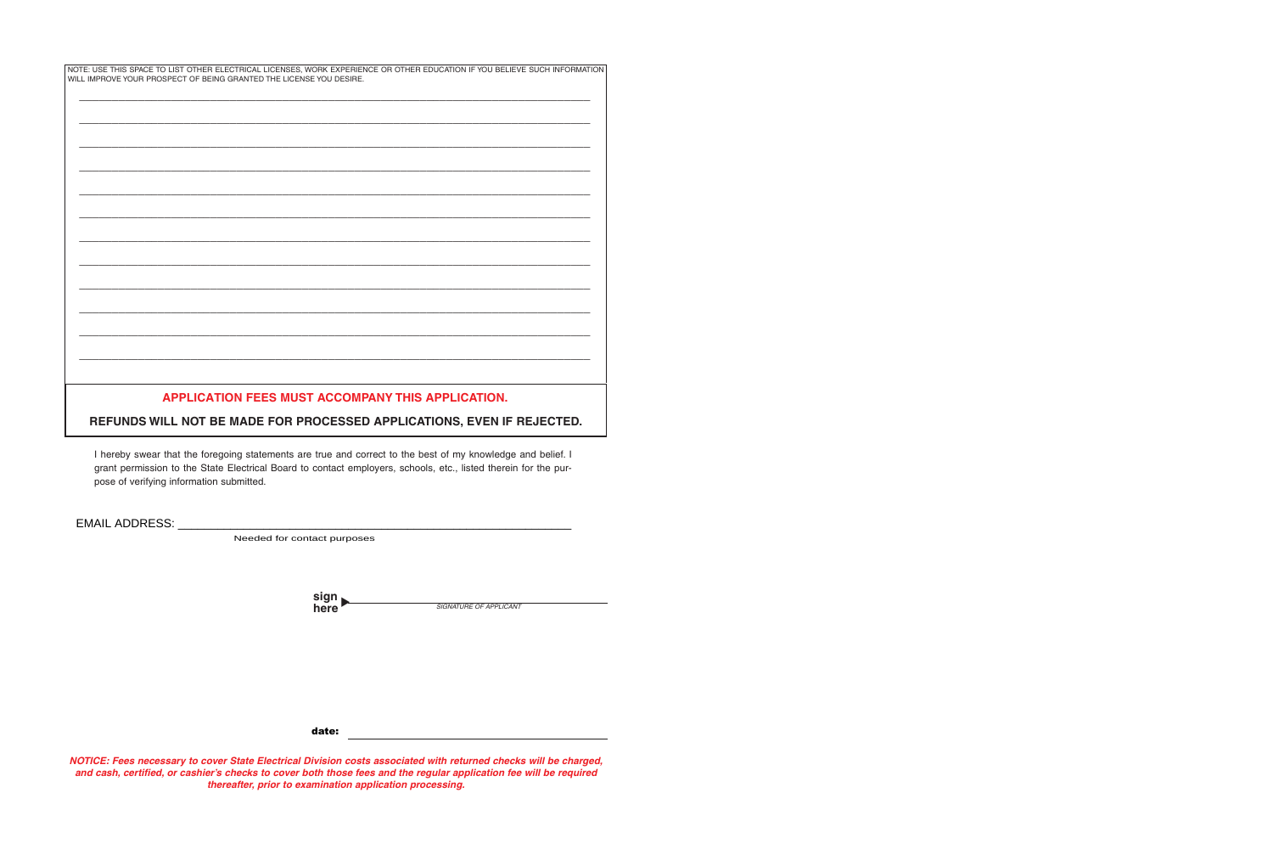| NOTE: USE THIS SPACE TO LIST OTHER ELECTRICAL LICENSES, WORK EXPERIENCE OR OTHER EDUCATION IF YOU BELIEVE SUCH INFORMATION  <br>WILL IMPROVE YOUR PROSPECT OF BEING GRANTED THE LICENSE YOU DESIRE. |  |
|-----------------------------------------------------------------------------------------------------------------------------------------------------------------------------------------------------|--|
|                                                                                                                                                                                                     |  |
|                                                                                                                                                                                                     |  |
|                                                                                                                                                                                                     |  |
|                                                                                                                                                                                                     |  |
|                                                                                                                                                                                                     |  |
|                                                                                                                                                                                                     |  |
|                                                                                                                                                                                                     |  |
|                                                                                                                                                                                                     |  |
|                                                                                                                                                                                                     |  |
|                                                                                                                                                                                                     |  |
|                                                                                                                                                                                                     |  |
|                                                                                                                                                                                                     |  |
|                                                                                                                                                                                                     |  |
|                                                                                                                                                                                                     |  |
| APPLICATION FEES MUST ACCOMPANY THIS APPLICATION.                                                                                                                                                   |  |
| REFUNDS WILL NOT BE MADE FOR PROCESSED APPLICATIONS, EVEN IF REJECTED.                                                                                                                              |  |

I hereby swear that the foregoing statements are true and correct to the best of my knowledge and belief. I grant permission to the State Electrical Board to contact employers, schools, etc., listed therein for the purpose of verifying information submitted.

EMAIL ADDRESS: \_\_\_\_\_\_\_\_\_\_

Needed for contact purposes

| sign |                               |
|------|-------------------------------|
| here | <b>SIGNATURE OF APPLICANT</b> |

date:

**NOTICE: Fees necessary to cover State Electrical Division costs associated with returned checks will be charged, and cash, certified, or cashier's checks to cover both those fees and the regular application fee will be required thereafter, prior to examination application processing.**